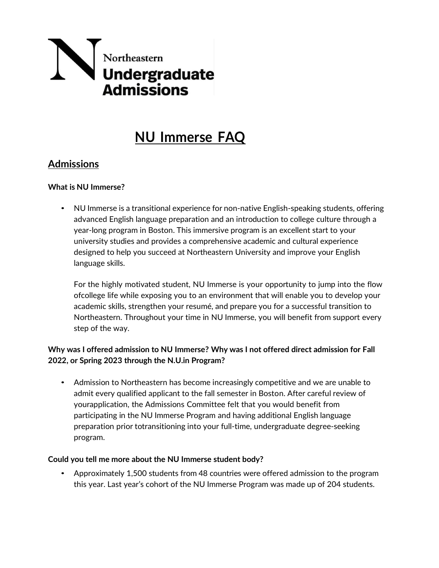

# **NU Immerse FAQ**

# **Admissions**

# **What is NU Immerse?**

• NU Immerse is a transitional experience for non-native English-speaking students, offering advanced English language preparation and an introduction to college culture through a year-long program in Boston. This immersive program is an excellent start to your university studies and provides a comprehensive academic and cultural experience designed to help you succeed at Northeastern University and improve your English language skills.

For the highly motivated student, NU Immerse is your opportunity to jump into the flow ofcollege life while exposing you to an environment that will enable you to develop your academic skills, strengthen your resumé, and prepare you for a successful transition to Northeastern. Throughout your time in NU Immerse, you will benefit from support every step of the way.

# **Why was I offered admission to NU Immerse? Why was I not offered direct admission for Fall 2022, or Spring 2023 through the N.U.in Program?**

• Admission to Northeastern has become increasingly competitive and we are unable to admit every qualified applicant to the fall semester in Boston. After careful review of yourapplication, the Admissions Committee felt that you would benefit from participating in the NU Immerse Program and having additional English language preparation prior totransitioning into your full-time, undergraduate degree-seeking program.

### **Could you tell me more about the NU Immerse student body?**

• Approximately 1,500 students from 48 countries were offered admission to the program this year. Last year's cohort of the NU Immerse Program was made up of 204 students.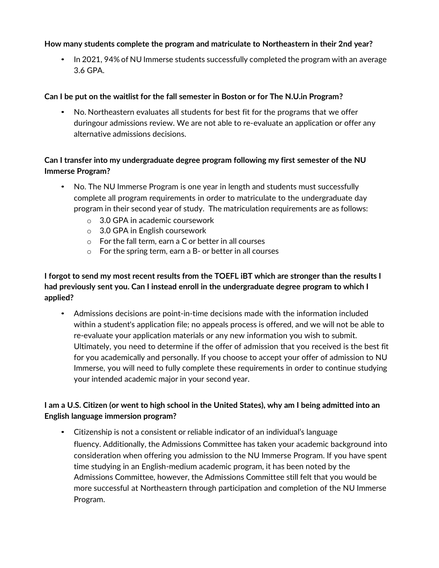# **How many students complete the program and matriculate to Northeastern in their 2nd year?**

• In 2021, 94% of NU Immerse students successfully completed the program with an average 3.6 GPA.

# **Can I be put on the waitlist for the fall semester in Boston or for The N.U.in Program?**

• No. Northeastern evaluates all students for best fit for the programs that we offer duringour admissions review. We are not able to re-evaluate an application or offer any alternative admissions decisions.

# **Can I transfer into my undergraduate degree program following my first semester of the NU Immerse Program?**

- No. The NU Immerse Program is one year in length and students must successfully complete all program requirements in order to matriculate to the undergraduate day program in their second year of study. The matriculation requirements are as follows:
	- o 3.0 GPA in academic coursework
	- o 3.0 GPA in English coursework
	- o For the fall term, earn a C or better in all courses
	- o For the spring term, earn a B- or better in all courses

**I forgot to send my most recent results from the TOEFL iBT which are stronger than the results I had previously sent you. Can I instead enroll in the undergraduate degree program to which I applied?**

• Admissions decisions are point-in-time decisions made with the information included within a student's application file; no appeals process is offered, and we will not be able to re-evaluate your application materials or any new information you wish to submit. Ultimately, you need to determine if the offer of admission that you received is the best fit for you academically and personally. If you choose to accept your offer of admission to NU Immerse, you will need to fully complete these requirements in order to continue studying your intended academic major in your second year.

# I am a U.S. Citizen (or went to high school in the United States), why am I being admitted into an **English language immersion program?**

• Citizenship is not a consistent or reliable indicator of an individual's language fluency. Additionally, the Admissions Committee has taken your academic background into consideration when offering you admission to the NU Immerse Program. If you have spent time studying in an English-medium academic program, it has been noted by the Admissions Committee, however, the Admissions Committee still felt that you would be more successful at Northeastern through participation and completion of the NU Immerse Program.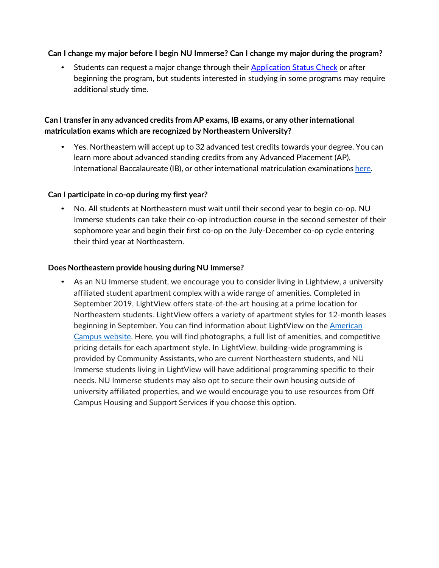# **Can I change my major before I begin NU Immerse? Can I change my major during the program?**

• Students can request a major change through their [Application Status Check](https://admissions.northeastern.edu/application-information/application-status-check/) or after beginning the program, but students interested in studying in some programs may require additional study time.

# **Can I transfer in any advanced credits from AP exams, IB exams, or any otherinternational matriculation exams which are recognized by Northeastern University?**

• Yes. Northeastern will accept up to 32 advanced test credits towards your degree. You can learn more about advanced standing credits from any Advanced Placement (AP), International Baccalaureate (IB), or other international matriculation examinations [here.](https://admissions.northeastern.edu/application-information/transferring-credit/)

# **Can I participate in co-op during my first year?**

• No. All students at Northeastern must wait until their second year to begin co-op. NU Immerse students can take their co-op introduction course in the second semester of their sophomore year and begin their first co-op on the July-December co-op cycle entering their third year at Northeastern.

### **Does Northeastern provide housing during NU Immerse?**

As an NU Immerse student, we encourage you to consider living in Lightview, a university affiliated student apartment complex with a wide range of amenities. Completed in September 2019, LightView offers state-of-the-art housing at a prime location for Northeastern students. LightView offers a variety of apartment styles for 12-month leases beginning in September. You can find information about LightView on the [American](https://www.americancampus.com/student-apartments/ma/boston/lightview/co-op-leases) [Campus website. H](https://www.americancampus.com/student-apartments/ma/boston/lightview/co-op-leases)ere, you will find photographs, a full list of amenities, and competitive pricing details for each apartment style. In LightView, building-wide programming is provided by Community Assistants, who are current Northeastern students, and NU Immerse students living in LightView will have additional programming specific to their needs. NU Immerse students may also opt to secure their own housing outside of university affiliated properties, and we would encourage you to use resources from Off Campus Housing and Support Services if you choose this option.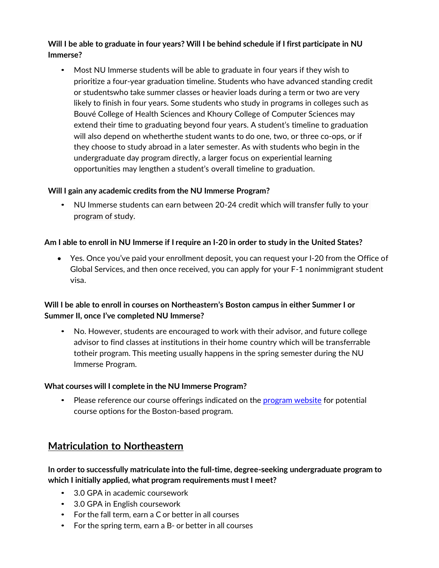# Will I be able to graduate in four years? Will I be behind schedule if I first participate in NU **Immerse?**

• Most NU Immerse students will be able to graduate in four years if they wish to prioritize a four-year graduation timeline. Students who have advanced standing credit or studentswho take summer classes or heavier loads during a term or two are very likely to finish in four years. Some students who study in programs in colleges such as Bouvé College of Health Sciences and Khoury College of Computer Sciences may extend their time to graduating beyond four years. A student's timeline to graduation will also depend on whetherthe student wants to do one, two, or three co-ops, or if they choose to study abroad in a later semester. As with students who begin in the undergraduate day program directly, a larger focus on experiential learning opportunities may lengthen a student's overall timeline to graduation.

# **Will I gain any academic credits from the NU Immerse Program?**

• NU Immerse students can earn between 20-24 credit which will transfer fully to your program of study.

# **Am I able to enroll in NU Immerse if I require an I-20 in order to study in the United States?**

• Yes. Once you've paid your enrollment deposit, you can request your I-20 from the Office of Global Services, and then once received, you can apply for your F-1 nonimmigrant student visa.

# **Will I be able to enroll in courses on Northeastern's Boston campus in either Summer I or Summer II, once I've completed NU Immerse?**

• No. However, students are encouraged to work with their advisor, and future college advisor to find classes at institutions in their home country which will be transferrable totheir program. This meeting usually happens in the spring semester during the NU Immerse Program.

### **What courses will I complete in the NU Immerse Program?**

Please reference our course offerings indicated on the [program website](https://admissions.northeastern.edu/academics/specialized-entry-programs/nu-immerse/) for potential course options for the Boston-based program.

# **Matriculation to Northeastern**

# **In order to successfully matriculate into the full-time, degree-seeking undergraduate program to which I initially applied, what program requirements must I meet?**

- 3.0 GPA in academic coursework
- 3.0 GPA in English coursework
- For the fall term, earn a C or better in all courses
- For the spring term, earn a B- or better in all courses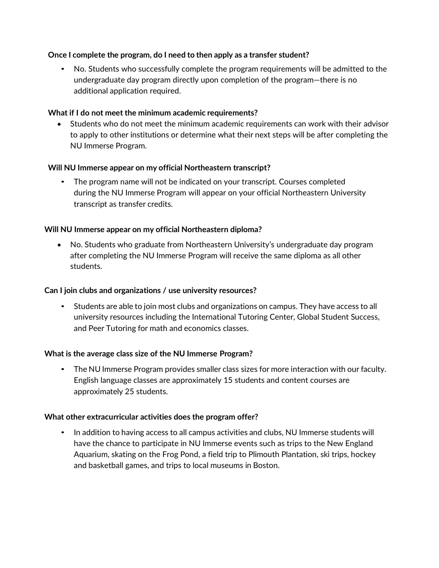# **Once I complete the program, do I need to then apply as a transfer student?**

• No. Students who successfully complete the program requirements will be admitted to the undergraduate day program directly upon completion of the program—there is no additional application required.

### **What if I do not meet the minimum academic requirements?**

• Students who do not meet the minimum academic requirements can work with their advisor to apply to other institutions or determine what their next steps will be after completing the NU Immerse Program.

### **Will NU Immerse appear on my official Northeastern transcript?**

• The program name will not be indicated on your transcript. Courses completed during the NU Immerse Program will appear on your official Northeastern University transcript as transfer credits.

### **Will NU Immerse appear on my official Northeastern diploma?**

• No. Students who graduate from Northeastern University's undergraduate day program after completing the NU Immerse Program will receive the same diploma as all other students.

#### **Can I join clubs and organizations / use university resources?**

• Students are able to join most clubs and organizations on campus. They have access to all university resources including the International Tutoring Center, Global Student Success, and Peer Tutoring for math and economics classes.

#### **What is the average class size of the NU Immerse Program?**

• The NU Immerse Program provides smaller class sizes for more interaction with our faculty. English language classes are approximately 15 students and content courses are approximately 25 students.

#### **What other extracurricular activities does the program offer?**

• In addition to having access to all campus activities and clubs, NU Immerse students will have the chance to participate in NU Immerse events such as trips to the New England Aquarium, skating on the Frog Pond, a field trip to Plimouth Plantation, ski trips, hockey and basketball games, and trips to local museums in Boston.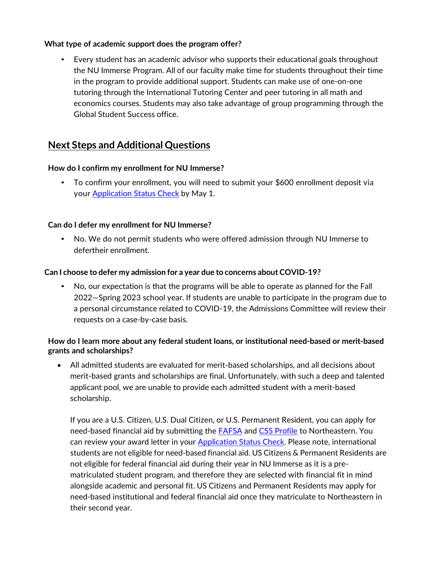# **What type of academic support does the program offer?**

• Every student has an academic advisor who supports their educational goals throughout the NU Immerse Program. All of our faculty make time for students throughout their time in the program to provide additional support. Students can make use of one-on-one tutoring through the International Tutoring Center and peer tutoring in all math and economics courses. Students may also take advantage of group programming through the Global Student Success office.

# **Next Steps and Additional Questions**

# **How do I confirm my enrollment for NU Immerse?**

• To confirm your enrollment, you will need to submit your \$600 enrollment deposit via your [Application](https://admissions.northeastern.edu/application-information/application-status-check/) Status Check by May 1.

# **Can do I defer my enrollment for NU Immerse?**

• No. We do not permit students who were offered admission through NU Immerse to defertheir enrollment.

### **Can I choose to defer my admission for a year due to concerns about COVID-19?**

• No, our expectation is that the programs will be able to operate as planned for the Fall 2022—Spring 2023 school year. If students are unable to participate in the program due to a personal circumstance related to COVID-19, the Admissions Committee will review their requests on a case-by-case basis.

# **How do I learn more about any federal student loans, or institutional need-based or merit-based grants and scholarships?**

• All admitted students are evaluated for merit-based scholarships, and all decisions about merit-based grants and scholarships are final. Unfortunately, with such a deep and talented applicant pool, we are unable to provide each admitted student with a merit-based scholarship.

If you are a U.S. Citizen, U.S. Dual Citizen, or U.S. Permanent Resident, you can apply for need-based financial aid by submitting the [FAFSA](https://studentaid.gov/h/apply-for-aid/fafsa) and [CSS Profile](https://cssprofile.collegeboard.org/) to Northeastern. You can review your award letter in your [Application Status Check. P](https://admissions.northeastern.edu/application-information/application-status-check/)lease note, international students are not eligible for need-based financial aid. US Citizens & Permanent Residents are not eligible for federal financial aid during their year in NU Immerse as it is a prematriculated student program, and therefore they are selected with financial fit in mind alongside academic and personal fit. US Citizens and Permanent Residents may apply for need-based institutional and federal financial aid once they matriculate to Northeastern in their second year.